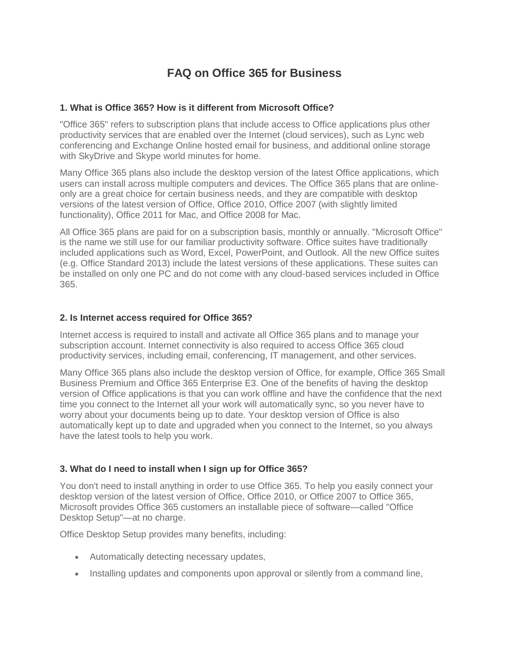# **FAQ on Office 365 for Business**

### **1. What is Office 365? How is it different from Microsoft Office?**

"Office 365" refers to subscription plans that include access to Office applications plus other productivity services that are enabled over the Internet (cloud services), such as Lync web conferencing and Exchange Online hosted email for business, and additional online storage with SkyDrive and Skype world minutes for home.

Many Office 365 plans also include the desktop version of the latest Office applications, which users can install across multiple computers and devices. The Office 365 plans that are onlineonly are a great choice for certain business needs, and they are compatible with desktop versions of the latest version of Office, Office 2010, Office 2007 (with slightly limited functionality), Office 2011 for Mac, and Office 2008 for Mac.

All Office 365 plans are paid for on a subscription basis, monthly or annually. "Microsoft Office" is the name we still use for our familiar productivity software. Office suites have traditionally included applications such as Word, Excel, PowerPoint, and Outlook. All the new Office suites (e.g. Office Standard 2013) include the latest versions of these applications. These suites can be installed on only one PC and do not come with any cloud-based services included in Office 365.

#### **2. Is Internet access required for Office 365?**

Internet access is required to install and activate all Office 365 plans and to manage your subscription account. Internet connectivity is also required to access Office 365 cloud productivity services, including email, conferencing, IT management, and other services.

Many Office 365 plans also include the desktop version of Office, for example, Office 365 Small Business Premium and Office 365 Enterprise E3. One of the benefits of having the desktop version of Office applications is that you can work offline and have the confidence that the next time you connect to the Internet all your work will automatically sync, so you never have to worry about your documents being up to date. Your desktop version of Office is also automatically kept up to date and upgraded when you connect to the Internet, so you always have the latest tools to help you work.

### **3. What do I need to install when I sign up for Office 365?**

You don't need to install anything in order to use Office 365. To help you easily connect your desktop version of the latest version of Office, Office 2010, or Office 2007 to Office 365, Microsoft provides Office 365 customers an installable piece of software—called "Office Desktop Setup"—at no charge.

Office Desktop Setup provides many benefits, including:

- Automatically detecting necessary updates,
- Installing updates and components upon approval or silently from a command line,